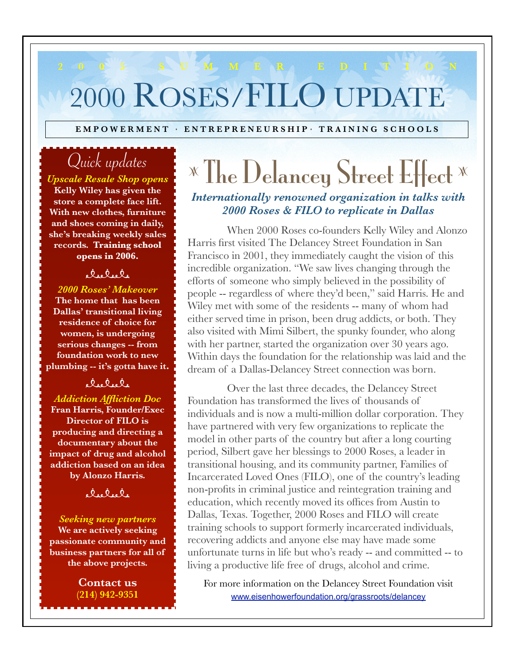# **2 0 0 5 S U M M E R E D I T I O N** 2000 ROSES/FILO UPDATE

EMPOWERMENT · ENTREPRENEURSHIP · TRAINING SCHOOLS

# Quick updates

*Upscale Resale Shop opens* **Kelly Wiley has given the store a complete face lift. With new clothes, furniture and shoes coming in daily, she's breaking weekly sales records. Training school opens in 2006.**

### electele

*2000 Roses' Makeover*  **The home that has been Dallas' transitional living residence of choice for women, is undergoing serious changes -- from foundation work to new plumbing -- it's gotta have it.** 

### alsalsa

*Addiction Affliction Doc*  **Fran Harris, Founder/Exec Director of FILO is producing and directing a documentary about the impact of drug and alcohol addiction based on an idea by Alonzo Harris.**

elselsle

### *Seeking new partners*  **We are actively seeking passionate community and business partners for all of the above projects.**

**Contact us (214) 942-9351**

# <sup>z</sup> The Delancey Street Effect <sup>z</sup> *Internationally renowned organization in talks with 2000 Roses & FILO to replicate in Dallas*

When 2000 Roses co-founders Kelly Wiley and Alonzo Harris first visited The Delancey Street Foundation in San Francisco in 2001, they immediately caught the vision of this incredible organization. "We saw lives changing through the efforts of someone who simply believed in the possibility of people -- regardless of where they'd been," said Harris. He and Wiley met with some of the residents -- many of whom had either served time in prison, been drug addicts, or both. They also visited with Mimi Silbert, the spunky founder, who along with her partner, started the organization over 30 years ago. Within days the foundation for the relationship was laid and the dream of a Dallas-Delancey Street connection was born.

Over the last three decades, the Delancey Street Foundation has transformed the lives of thousands of individuals and is now a multi-million dollar corporation. They have partnered with very few organizations to replicate the model in other parts of the country but after a long courting period, Silbert gave her blessings to 2000 Roses, a leader in transitional housing, and its community partner, Families of Incarcerated Loved Ones (FILO), one of the country's leading non-profits in criminal justice and reintegration training and education, which recently moved its offices from Austin to Dallas, Texas. Together, 2000 Roses and FILO will create training schools to support formerly incarcerated individuals, recovering addicts and anyone else may have made some unfortunate turns in life but who's ready -- and committed -- to living a productive life free of drugs, alcohol and crime.

For more information on the Delancey Street Foundation visit www.eisenhowerfoundation.org/grassroots/delancey